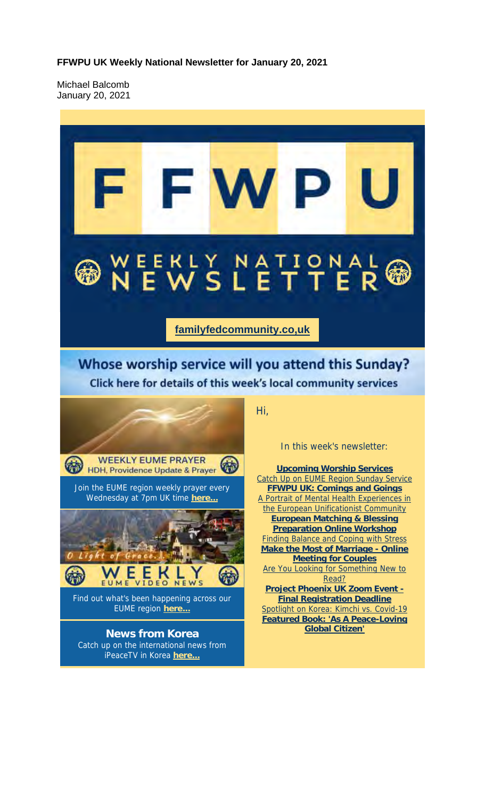**FFWPU UK Weekly National Newsletter for January 20, 2021**

Michael Balcomb January 20, 2021

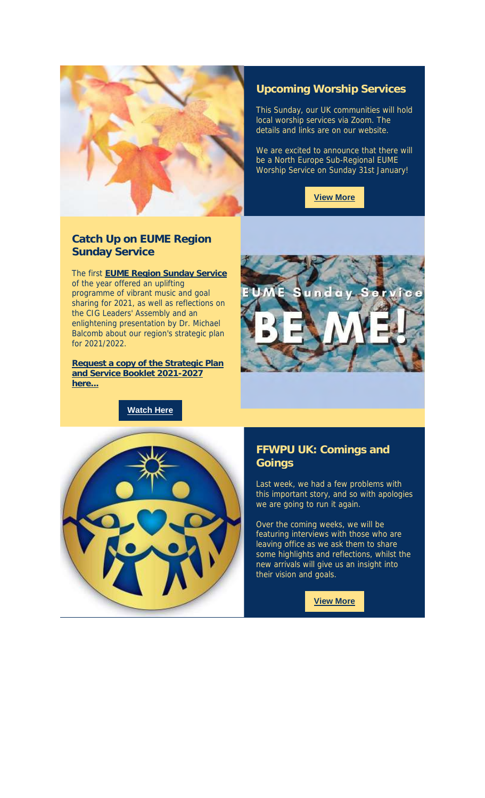

#### **Upcoming Worship Services**

This Sunday, our UK communities will hold local worship services via Zoom. The details and links are on our website.

We are excited to announce that there will be a North Europe Sub-Regional EUME Worship Service on Sunday 31st January!

**View More**

#### **Catch Up on EUME Region Sunday Service**

The first **EUME Region Sunday Service** of the year offered an uplifting programme of vibrant music and goal sharing for 2021, as well as reflections on the CIG Leaders' Assembly and an enlightening presentation by Dr. Michael Balcomb about our region's strategic plan for 2021/2022.

**Request a copy of the Strategic Plan and Service Booklet 2021-2027 here...**

**Watch Here**





#### **FFWPU UK: Comings and Goings**

Last week, we had a few problems with this important story, and so with apologies we are going to run it again.

Over the coming weeks, we will be featuring interviews with those who are leaving office as we ask them to share some highlights and reflections, whilst the new arrivals will give us an insight into their vision and goals.

**View More**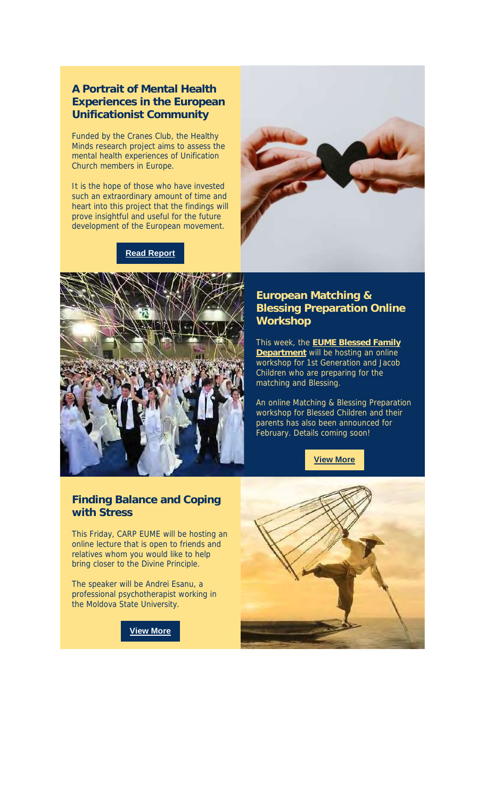#### **A Portrait of Mental Health Experiences in the European Unificationist Community**

Funded by the Cranes Club, the Healthy Minds research project aims to assess the mental health experiences of Unification Church members in Europe.

It is the hope of those who have invested such an extraordinary amount of time and heart into this project that the findings will prove insightful and useful for the future development of the European movement.

#### **Read Report**





#### **European Matching & Blessing Preparation Online Workshop**

This week, the **EUME Blessed Family Department** will be hosting an online workshop for 1st Generation and Jacob Children who are preparing for the matching and Blessing.

An online Matching & Blessing Preparation workshop for Blessed Children and their parents has also been announced for February. Details coming soon!

**View More**

#### **Finding Balance and Coping with Stress**

This Friday, CARP EUME will be hosting an online lecture that is open to friends and relatives whom you would like to help bring closer to the Divine Principle.

The speaker will be Andrei Esanu, a professional psychotherapist working in the Moldova State University.

**View More**

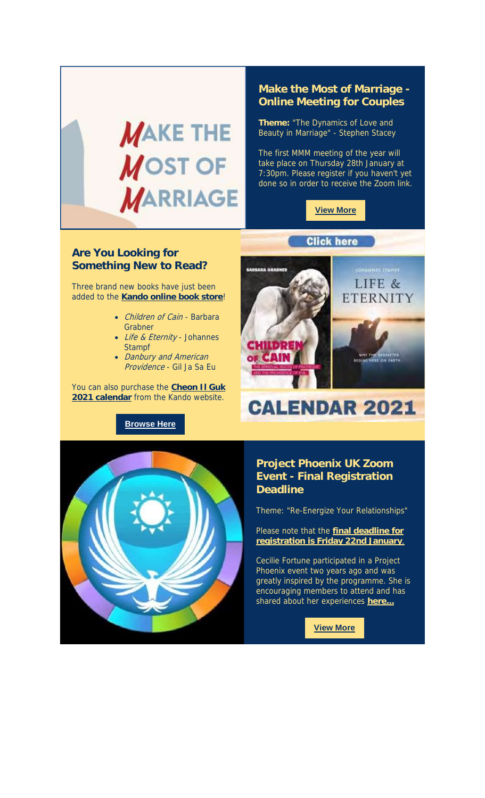

#### **Make the Most of Marriage - Online Meeting for Couples**

**Theme:** "The Dynamics of Love and Beauty in Marriage" - Stephen Stacey

The first MMM meeting of the year will take place on Thursday 28th January at 7:30pm. Please register if you haven't yet done so in order to receive the Zoom link.



#### **Are You Looking for Something New to Read?**

Three brand new books have just been added to the **Kando online book store**!

- Children of Cain Barbara Grabner
- Life & Eternity Johannes **Stampf**
- Danbury and American Providence - Gil Ja Sa Eu

You can also purchase the **Cheon Il Guk 2021 calendar** from the Kando website.

**Browse Here**



# **CALENDAR 2021**



#### **Project Phoenix UK Zoom Event - Final Registration Deadline**

Theme: "Re-Energize Your Relationships"

Please note that the **final deadline for registration is Friday 22nd January**.

Cecilie Fortune participated in a Project Phoenix event two years ago and was greatly inspired by the programme. She is encouraging members to attend and has shared about her experiences **here...**

**View More**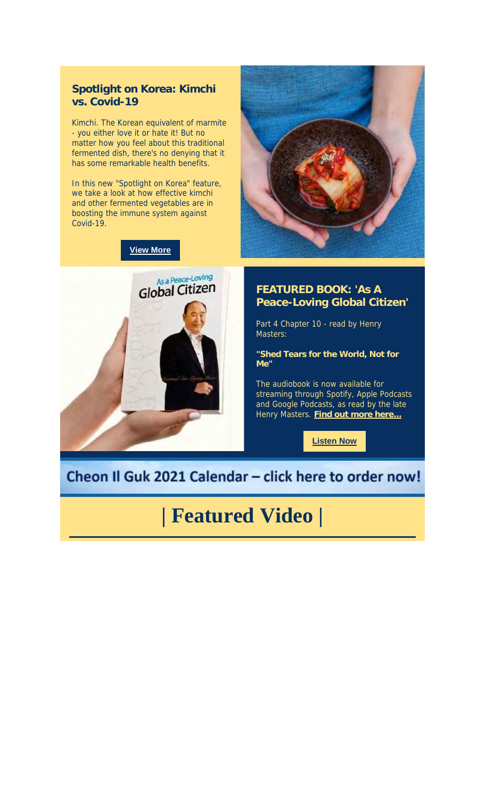

Kimchi. The Korean equivalent of marmite - you either love it or hate it! But no matter how you feel about this traditional fermented dish, there's no denying that it has some remarkable health benefits.

In this new "Spotlight on Korea" feature, we take a look at how effective kimchi and other fermented vegetables are in boosting the immune system against Covid-19.

**View More**



#### **FEATURED BOOK: 'As A Peace-Loving Global Citizen'**

Part 4 Chapter 10 - read by Henry Masters:

**"Shed Tears for the World, Not for Me"**

The audiobook is now available for streaming through Spotify, Apple Podcasts and Google Podcasts, as read by the late Henry Masters. **Find out more here...**

**Listen Now**

### Cheon Il Guk 2021 Calendar - click here to order now!

### **| Featured Video |**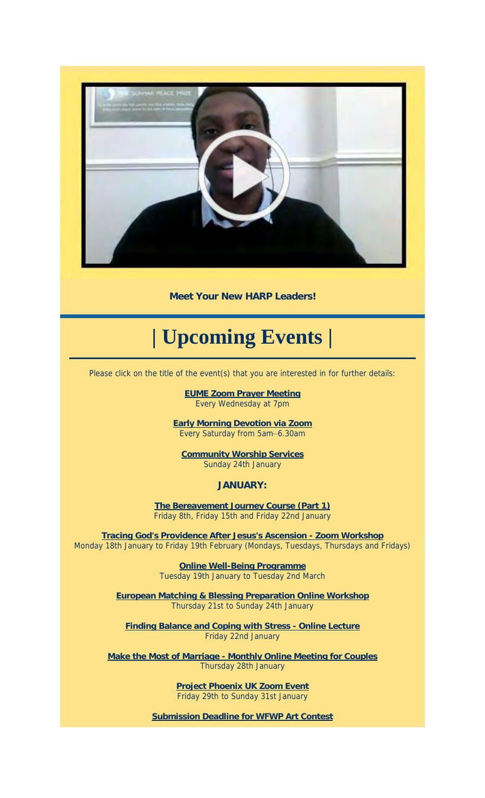

**Meet Your New HARP Leaders!**

## **| Upcoming Events |**

Please click on the title of the event(s) that you are interested in for further details:

**EUME Zoom Prayer Meeting** Every Wednesday at 7pm

**Early Morning Devotion via Zoom** Every Saturday from 5am–6.30am

**Community Worship Services** Sunday 24th January

**JANUARY:**

**The Bereavement Journey Course (Part 1)** Friday 8th, Friday 15th and Friday 22nd January

**Tracing God's Providence After Jesus's Ascension - Zoom Workshop** Monday 18th January to Friday 19th February (Mondays, Tuesdays, Thursdays and Fridays)

> **Online Well-Being Programme** Tuesday 19th January to Tuesday 2nd March

**European Matching & Blessing Preparation Online Workshop** Thursday 21st to Sunday 24th January

**Finding Balance and Coping with Stress - Online Lecture** Friday 22nd January

**Make the Most of Marriage - Monthly Online Meeting for Couples** Thursday 28th January

> **Project Phoenix UK Zoom Event** Friday 29th to Sunday 31st January

**Submission Deadline for WFWP Art Contest**